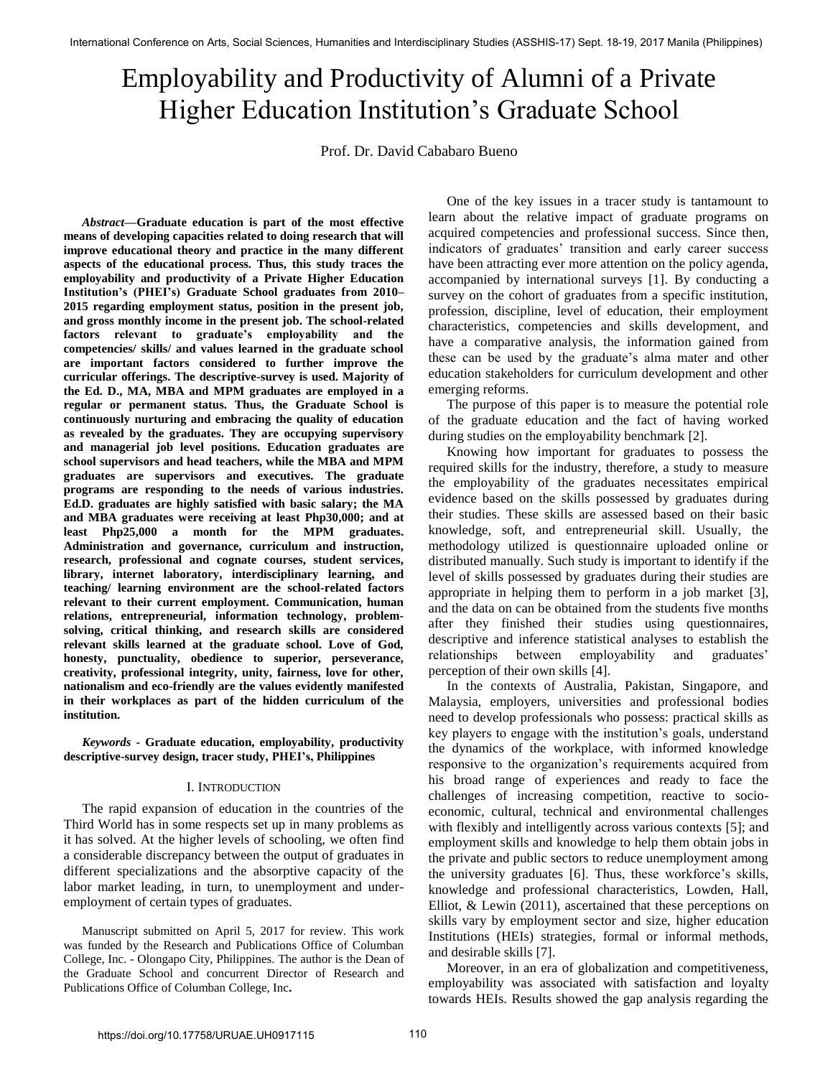# Higher Education Institution's Graduate School Employability and Productivity of Alumni of a Private

Prof. Dr. David Cababaro Bueno

*Abstract***—Graduate education is part of the most effective means of developing capacities related to doing research that will improve educational theory and practice in the many different aspects of the educational process. Thus, this study traces the employability and productivity of a Private Higher Education Institution's (PHEI's) Graduate School graduates from 2010– 2015 regarding employment status, position in the present job, and gross monthly income in the present job. The school-related factors relevant to graduate's employability and the competencies/ skills/ and values learned in the graduate school are important factors considered to further improve the curricular offerings. The descriptive-survey is used. Majority of the Ed. D., MA, MBA and MPM graduates are employed in a regular or permanent status. Thus, the Graduate School is continuously nurturing and embracing the quality of education as revealed by the graduates. They are occupying supervisory and managerial job level positions. Education graduates are school supervisors and head teachers, while the MBA and MPM graduates are supervisors and executives. The graduate programs are responding to the needs of various industries. Ed.D. graduates are highly satisfied with basic salary; the MA and MBA graduates were receiving at least Php30,000; and at least Php25,000 a month for the MPM graduates. Administration and governance, curriculum and instruction, research, professional and cognate courses, student services, library, internet laboratory, interdisciplinary learning, and teaching/ learning environment are the school-related factors relevant to their current employment. Communication, human relations, entrepreneurial, information technology, problemsolving, critical thinking, and research skills are considered relevant skills learned at the graduate school. Love of God, honesty, punctuality, obedience to superior, perseverance, creativity, professional integrity, unity, fairness, love for other, nationalism and eco-friendly are the values evidently manifested in their workplaces as part of the hidden curriculum of the institution.** 

*Keywords* **- Graduate education, employability, productivity descriptive-survey design, tracer study, PHEI's, Philippines** 

#### I. INTRODUCTION

The rapid expansion of education in the countries of the Third World has in some respects set up in many problems as it has solved. At the higher levels of schooling, we often find a considerable discrepancy between the output of graduates in different specializations and the absorptive capacity of the labor market leading, in turn, to unemployment and underemployment of certain types of graduates.

Manuscript submitted on April 5, 2017 for review. This work was funded by the Research and Publications Office of Columban College, Inc. - Olongapo City, Philippines. The author is the Dean of the Graduate School and concurrent Director of Research and Publications Office of Columban College, Inc**.**

One of the key issues in a tracer study is tantamount to learn about the relative impact of graduate programs on acquired competencies and professional success. Since then, indicators of graduates' transition and early career success have been attracting ever more attention on the policy agenda, accompanied by international surveys [1]. By conducting a survey on the cohort of graduates from a specific institution, profession, discipline, level of education, their employment characteristics, competencies and skills development, and have a comparative analysis, the information gained from these can be used by the graduate's alma mater and other education stakeholders for curriculum development and other emerging reforms.

The purpose of this paper is to measure the potential role of the graduate education and the fact of having worked during studies on the employability benchmark [2].

Knowing how important for graduates to possess the required skills for the industry, therefore, a study to measure the employability of the graduates necessitates empirical evidence based on the skills possessed by graduates during their studies. These skills are assessed based on their basic knowledge, soft, and entrepreneurial skill. Usually, the methodology utilized is questionnaire uploaded online or distributed manually. Such study is important to identify if the level of skills possessed by graduates during their studies are appropriate in helping them to perform in a job market [3], and the data on can be obtained from the students five months after they finished their studies using questionnaires, descriptive and inference statistical analyses to establish the relationships between employability and graduates' perception of their own skills [4].

In the contexts of Australia, Pakistan, Singapore, and Malaysia, employers, universities and professional bodies need to develop professionals who possess: practical skills as key players to engage with the institution's goals, understand the dynamics of the workplace, with informed knowledge responsive to the organization's requirements acquired from his broad range of experiences and ready to face the challenges of increasing competition, reactive to socioeconomic, cultural, technical and environmental challenges with flexibly and intelligently across various contexts [5]; and employment skills and knowledge to help them obtain jobs in the private and public sectors to reduce unemployment among the university graduates [6]. Thus, these workforce's skills, knowledge and professional characteristics, Lowden, Hall, Elliot, & Lewin (2011), ascertained that these perceptions on skills vary by employment sector and size, higher education Institutions (HEIs) strategies, formal or informal methods, and desirable skills [7].

Moreover, in an era of globalization and competitiveness, employability was associated with satisfaction and loyalty towards HEIs. Results showed the gap analysis regarding the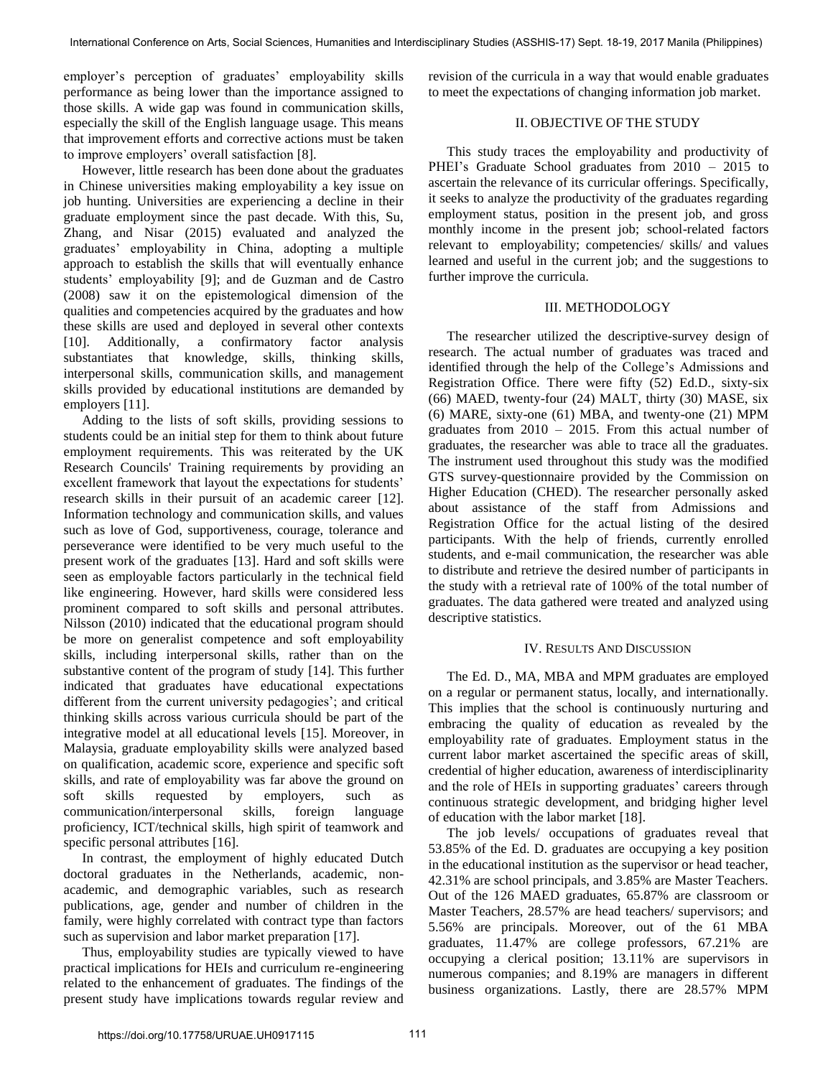employer's perception of graduates' employability skills performance as being lower than the importance assigned to those skills. A wide gap was found in communication skills, especially the skill of the English language usage. This means that improvement efforts and corrective actions must be taken to improve employers' overall satisfaction [8].

However, little research has been done about the graduates in Chinese universities making employability a key issue on job hunting. Universities are experiencing a decline in their graduate employment since the past decade. With this, Su, Zhang, and Nisar (2015) evaluated and analyzed the graduates' employability in China, adopting a multiple approach to establish the skills that will eventually enhance students' employability [9]; and de Guzman and de Castro (2008) saw it on the epistemological dimension of the qualities and competencies acquired by the graduates and how these skills are used and deployed in several other contexts [10]. Additionally, a confirmatory factor analysis substantiates that knowledge, skills, thinking skills, interpersonal skills, communication skills, and management skills provided by educational institutions are demanded by employers [11].

Adding to the lists of soft skills, providing sessions to students could be an initial step for them to think about future employment requirements. This was reiterated by the UK Research Councils' Training requirements by providing an excellent framework that layout the expectations for students' research skills in their pursuit of an academic career [12]. Information technology and communication skills, and values such as love of God, supportiveness, courage, tolerance and perseverance were identified to be very much useful to the present work of the graduates [13]. Hard and soft skills were seen as employable factors particularly in the technical field like engineering. However, hard skills were considered less prominent compared to soft skills and personal attributes. Nilsson (2010) indicated that the educational program should be more on generalist competence and soft employability skills, including interpersonal skills, rather than on the substantive content of the program of study [14]. This further indicated that graduates have educational expectations different from the current university pedagogies'; and critical thinking skills across various curricula should be part of the integrative model at all educational levels [15]. Moreover, in Malaysia, graduate employability skills were analyzed based on qualification, academic score, experience and specific soft skills, and rate of employability was far above the ground on soft skills requested by employers, such as communication/interpersonal skills, foreign language proficiency, ICT/technical skills, high spirit of teamwork and specific personal attributes [16].

In contrast, the employment of highly educated Dutch doctoral graduates in the Netherlands, academic, nonacademic, and demographic variables, such as research publications, age, gender and number of children in the family, were highly correlated with contract type than factors such as supervision and labor market preparation [17].

Thus, employability studies are typically viewed to have practical implications for HEIs and curriculum re-engineering related to the enhancement of graduates. The findings of the present study have implications towards regular review and revision of the curricula in a way that would enable graduates to meet the expectations of changing information job market.

## II. OBJECTIVE OF THE STUDY

This study traces the employability and productivity of PHEI's Graduate School graduates from  $2010 - 2015$  to ascertain the relevance of its curricular offerings. Specifically, it seeks to analyze the productivity of the graduates regarding employment status, position in the present job, and gross monthly income in the present job; school-related factors relevant to employability; competencies/ skills/ and values learned and useful in the current job; and the suggestions to further improve the curricula.

## III. METHODOLOGY

The researcher utilized the descriptive-survey design of research. The actual number of graduates was traced and identified through the help of the College's Admissions and Registration Office. There were fifty (52) Ed.D., sixty-six (66) MAED, twenty-four (24) MALT, thirty (30) MASE, six (6) MARE, sixty-one (61) MBA, and twenty-one (21) MPM graduates from 2010 – 2015. From this actual number of graduates, the researcher was able to trace all the graduates. The instrument used throughout this study was the modified GTS survey-questionnaire provided by the Commission on Higher Education (CHED). The researcher personally asked about assistance of the staff from Admissions and Registration Office for the actual listing of the desired participants. With the help of friends, currently enrolled students, and e-mail communication, the researcher was able to distribute and retrieve the desired number of participants in the study with a retrieval rate of 100% of the total number of graduates. The data gathered were treated and analyzed using descriptive statistics.

## IV. RESULTS AND DISCUSSION

The Ed. D., MA, MBA and MPM graduates are employed on a regular or permanent status, locally, and internationally. This implies that the school is continuously nurturing and embracing the quality of education as revealed by the employability rate of graduates. Employment status in the current labor market ascertained the specific areas of skill, credential of higher education, awareness of interdisciplinarity and the role of HEIs in supporting graduates' careers through continuous strategic development, and bridging higher level of education with the labor market [18].

The job levels/ occupations of graduates reveal that 53.85% of the Ed. D. graduates are occupying a key position in the educational institution as the supervisor or head teacher, 42.31% are school principals, and 3.85% are Master Teachers. Out of the 126 MAED graduates, 65.87% are classroom or Master Teachers, 28.57% are head teachers/ supervisors; and 5.56% are principals. Moreover, out of the 61 MBA graduates, 11.47% are college professors, 67.21% are occupying a clerical position; 13.11% are supervisors in numerous companies; and 8.19% are managers in different business organizations. Lastly, there are 28.57% MPM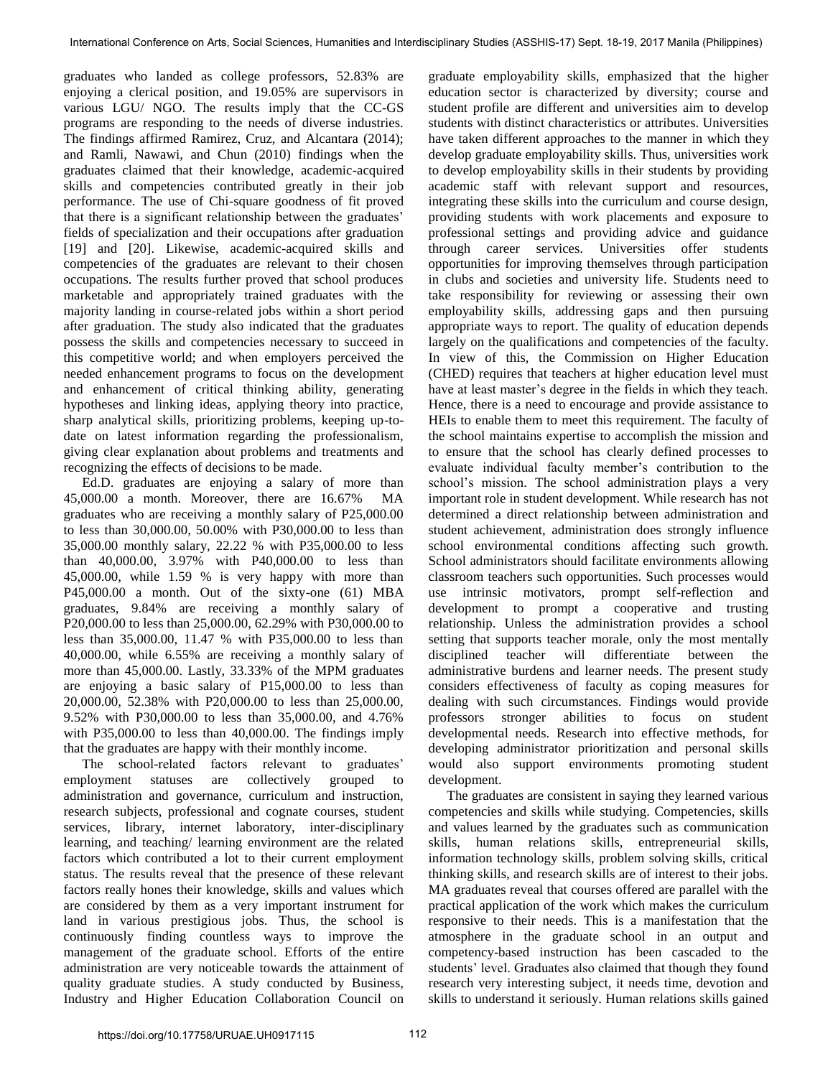graduates who landed as college professors, 52.83% are enjoying a clerical position, and 19.05% are supervisors in various LGU/ NGO. The results imply that the CC-GS programs are responding to the needs of diverse industries. The findings affirmed Ramirez, Cruz, and Alcantara (2014); and Ramli, Nawawi, and Chun (2010) findings when the graduates claimed that their knowledge, academic-acquired skills and competencies contributed greatly in their job performance. The use of Chi-square goodness of fit proved that there is a significant relationship between the graduates' fields of specialization and their occupations after graduation [19] and [20]. Likewise, academic-acquired skills and competencies of the graduates are relevant to their chosen occupations. The results further proved that school produces marketable and appropriately trained graduates with the majority landing in course-related jobs within a short period after graduation. The study also indicated that the graduates possess the skills and competencies necessary to succeed in this competitive world; and when employers perceived the needed enhancement programs to focus on the development and enhancement of critical thinking ability, generating hypotheses and linking ideas, applying theory into practice, sharp analytical skills, prioritizing problems, keeping up-todate on latest information regarding the professionalism, giving clear explanation about problems and treatments and recognizing the effects of decisions to be made.

Ed.D. graduates are enjoying a salary of more than 45,000.00 a month. Moreover, there are 16.67% MA graduates who are receiving a monthly salary of P25,000.00 to less than 30,000.00, 50.00% with P30,000.00 to less than 35,000.00 monthly salary, 22.22 % with P35,000.00 to less than 40,000.00, 3.97% with P40,000.00 to less than 45,000.00, while 1.59 % is very happy with more than P45,000.00 a month. Out of the sixty-one (61) MBA graduates, 9.84% are receiving a monthly salary of P20,000.00 to less than 25,000.00, 62.29% with P30,000.00 to less than 35,000.00, 11.47 % with P35,000.00 to less than 40,000.00, while 6.55% are receiving a monthly salary of more than 45,000.00. Lastly, 33.33% of the MPM graduates are enjoying a basic salary of P15,000.00 to less than 20,000.00, 52.38% with P20,000.00 to less than 25,000.00, 9.52% with P30,000.00 to less than 35,000.00, and 4.76% with P35,000.00 to less than 40,000.00. The findings imply that the graduates are happy with their monthly income.

The school-related factors relevant to graduates' employment statuses are collectively grouped to administration and governance, curriculum and instruction, research subjects, professional and cognate courses, student services, library, internet laboratory, inter-disciplinary learning, and teaching/ learning environment are the related factors which contributed a lot to their current employment status. The results reveal that the presence of these relevant factors really hones their knowledge, skills and values which are considered by them as a very important instrument for land in various prestigious jobs. Thus, the school is continuously finding countless ways to improve the management of the graduate school. Efforts of the entire administration are very noticeable towards the attainment of quality graduate studies. A study conducted by Business, Industry and Higher Education Collaboration Council on

graduate employability skills, emphasized that the higher education sector is characterized by diversity; course and student profile are different and universities aim to develop students with distinct characteristics or attributes. Universities have taken different approaches to the manner in which they develop graduate employability skills. Thus, universities work to develop employability skills in their students by providing academic staff with relevant support and resources, integrating these skills into the curriculum and course design, providing students with work placements and exposure to professional settings and providing advice and guidance through career services. Universities offer students opportunities for improving themselves through participation in clubs and societies and university life. Students need to take responsibility for reviewing or assessing their own employability skills, addressing gaps and then pursuing appropriate ways to report. The quality of education depends largely on the qualifications and competencies of the faculty. In view of this, the Commission on Higher Education (CHED) requires that teachers at higher education level must have at least master's degree in the fields in which they teach. Hence, there is a need to encourage and provide assistance to HEIs to enable them to meet this requirement. The faculty of the school maintains expertise to accomplish the mission and to ensure that the school has clearly defined processes to evaluate individual faculty member's contribution to the school's mission. The school administration plays a very important role in student development. While research has not determined a direct relationship between administration and student achievement, administration does strongly influence school environmental conditions affecting such growth. School administrators should facilitate environments allowing classroom teachers such opportunities. Such processes would use intrinsic motivators, prompt self-reflection and development to prompt a cooperative and trusting relationship. Unless the administration provides a school setting that supports teacher morale, only the most mentally disciplined teacher will differentiate between the administrative burdens and learner needs. The present study considers effectiveness of faculty as coping measures for dealing with such circumstances. Findings would provide professors stronger abilities to focus on student developmental needs. Research into effective methods, for developing administrator prioritization and personal skills would also support environments promoting student development.

The graduates are consistent in saying they learned various competencies and skills while studying. Competencies, skills and values learned by the graduates such as communication skills, human relations skills, entrepreneurial skills, information technology skills, problem solving skills, critical thinking skills, and research skills are of interest to their jobs. MA graduates reveal that courses offered are parallel with the practical application of the work which makes the curriculum responsive to their needs. This is a manifestation that the atmosphere in the graduate school in an output and competency-based instruction has been cascaded to the students' level. Graduates also claimed that though they found research very interesting subject, it needs time, devotion and skills to understand it seriously. Human relations skills gained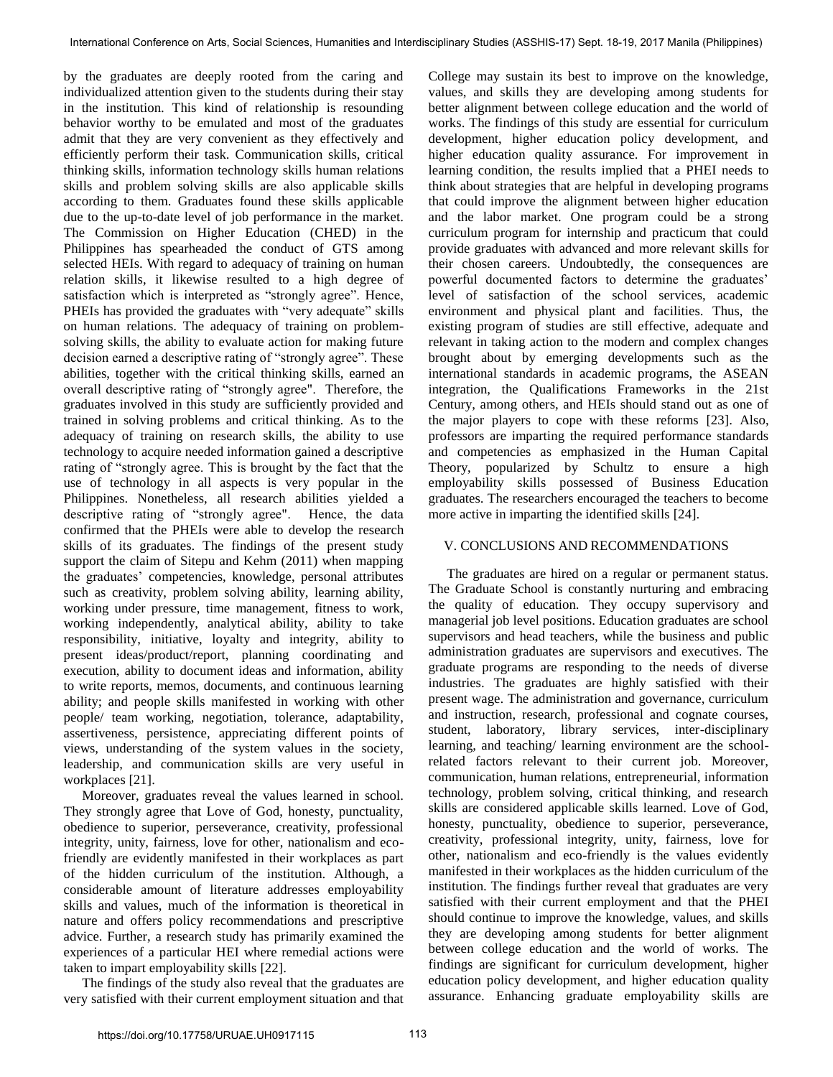by the graduates are deeply rooted from the caring and individualized attention given to the students during their stay in the institution. This kind of relationship is resounding behavior worthy to be emulated and most of the graduates admit that they are very convenient as they effectively and efficiently perform their task. Communication skills, critical thinking skills, information technology skills human relations skills and problem solving skills are also applicable skills according to them. Graduates found these skills applicable due to the up-to-date level of job performance in the market. The Commission on Higher Education (CHED) in the Philippines has spearheaded the conduct of GTS among selected HEIs. With regard to adequacy of training on human relation skills, it likewise resulted to a high degree of satisfaction which is interpreted as "strongly agree". Hence, PHEIs has provided the graduates with "very adequate" skills on human relations. The adequacy of training on problemsolving skills, the ability to evaluate action for making future decision earned a descriptive rating of "strongly agree". These abilities, together with the critical thinking skills, earned an overall descriptive rating of "strongly agree". Therefore, the graduates involved in this study are sufficiently provided and trained in solving problems and critical thinking. As to the adequacy of training on research skills, the ability to use technology to acquire needed information gained a descriptive rating of "strongly agree. This is brought by the fact that the use of technology in all aspects is very popular in the Philippines. Nonetheless, all research abilities yielded a descriptive rating of "strongly agree". Hence, the data confirmed that the PHEIs were able to develop the research skills of its graduates. The findings of the present study support the claim of Sitepu and Kehm (2011) when mapping the graduates' competencies, knowledge, personal attributes such as creativity, problem solving ability, learning ability, working under pressure, time management, fitness to work, working independently, analytical ability, ability to take responsibility, initiative, loyalty and integrity, ability to present ideas/product/report, planning coordinating and execution, ability to document ideas and information, ability to write reports, memos, documents, and continuous learning ability; and people skills manifested in working with other people/ team working, negotiation, tolerance, adaptability, assertiveness, persistence, appreciating different points of views, understanding of the system values in the society, leadership, and communication skills are very useful in workplaces [21].

Moreover, graduates reveal the values learned in school. They strongly agree that Love of God, honesty, punctuality, obedience to superior, perseverance, creativity, professional integrity, unity, fairness, love for other, nationalism and ecofriendly are evidently manifested in their workplaces as part of the hidden curriculum of the institution. Although, a considerable amount of literature addresses employability skills and values, much of the information is theoretical in nature and offers policy recommendations and prescriptive advice. Further, a research study has primarily examined the experiences of a particular HEI where remedial actions were taken to impart employability skills [22].

The findings of the study also reveal that the graduates are very satisfied with their current employment situation and that College may sustain its best to improve on the knowledge, values, and skills they are developing among students for better alignment between college education and the world of works. The findings of this study are essential for curriculum development, higher education policy development, and higher education quality assurance. For improvement in learning condition, the results implied that a PHEI needs to think about strategies that are helpful in developing programs that could improve the alignment between higher education and the labor market. One program could be a strong curriculum program for internship and practicum that could provide graduates with advanced and more relevant skills for their chosen careers. Undoubtedly, the consequences are powerful documented factors to determine the graduates' level of satisfaction of the school services, academic environment and physical plant and facilities. Thus, the existing program of studies are still effective, adequate and relevant in taking action to the modern and complex changes brought about by emerging developments such as the international standards in academic programs, the ASEAN integration, the Qualifications Frameworks in the 21st Century, among others, and HEIs should stand out as one of the major players to cope with these reforms [23]. Also, professors are imparting the required performance standards and competencies as emphasized in the Human Capital Theory, popularized by Schultz to ensure a high employability skills possessed of Business Education graduates. The researchers encouraged the teachers to become more active in imparting the identified skills [24].

# V. CONCLUSIONS AND RECOMMENDATIONS

The graduates are hired on a regular or permanent status. The Graduate School is constantly nurturing and embracing the quality of education. They occupy supervisory and managerial job level positions. Education graduates are school supervisors and head teachers, while the business and public administration graduates are supervisors and executives. The graduate programs are responding to the needs of diverse industries. The graduates are highly satisfied with their present wage. The administration and governance, curriculum and instruction, research, professional and cognate courses, student, laboratory, library services, inter-disciplinary learning, and teaching/ learning environment are the schoolrelated factors relevant to their current job. Moreover, communication, human relations, entrepreneurial, information technology, problem solving, critical thinking, and research skills are considered applicable skills learned. Love of God, honesty, punctuality, obedience to superior, perseverance, creativity, professional integrity, unity, fairness, love for other, nationalism and eco-friendly is the values evidently manifested in their workplaces as the hidden curriculum of the institution. The findings further reveal that graduates are very satisfied with their current employment and that the PHEI should continue to improve the knowledge, values, and skills they are developing among students for better alignment between college education and the world of works. The findings are significant for curriculum development, higher education policy development, and higher education quality assurance. Enhancing graduate employability skills are